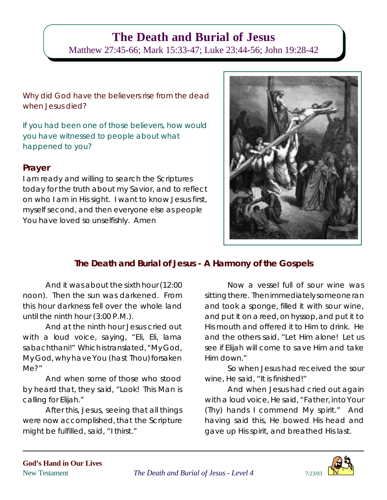# **The Death and Burial of Jesus**

Matthew 27:45-66; Mark 15:33-47; Luke 23:44-56; John 19:28-42

Why did God have the believers rise from the dead when Jesus died?

If you had been one of those believers, how would you have witnessed to people about what happened to you?

## **Prayer**

I am ready and willing to search the Scriptures today for the truth about my Savior, and to reflect on who I am in His sight. I want to know Jesus first, myself second, and then everyone else as people You have loved so unselfishly. Amen



## **The Death and Burial of Jesus - A Harmony of the Gospels**

And it was about the sixth hour (12:00 noon). Then the sun was darkened. From this hour darkness fell over the whole land until the ninth hour (3:00 P.M.).

And at the ninth hour Jesus cried out with a loud voice, saying, "Eli, Eli, lama sabachthani!" Which is translated, "My God, My God, why have You (hast Thou) forsaken Me?"

And when some of those who stood by heard that, they said, "Look! This Man is calling for Elijah."

After this, Jesus, seeing that all things were now accomplished, that the Scripture might be fulfilled, said, "I thirst."

Now a vessel full of sour wine was sitting there. Then immediately someone ran and took a sponge, filled it with sour wine, and put it on a reed, on hyssop,and put it to His mouth and offered it to Him to drink. He and the others said, "Let Him alone! Let us see if Elijah will come to save Him and take Him down."

So when Jesus had received the sour wine, He said, "It is finished!"

And when Jesus had cried out again with a loud voice, He said, "Father, intoYour (Thy) hands I commend My spirit." And having said this, He bowed His head and gave up His spirit, and breathed His last.

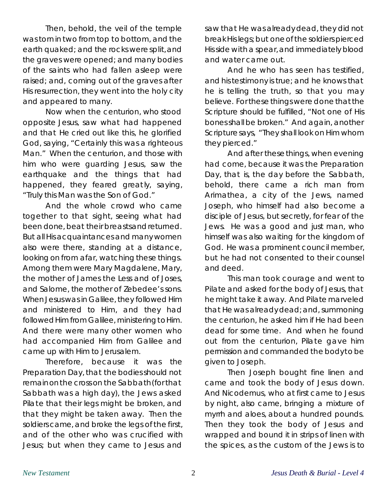Then, behold, the veil of the temple was tornin two from top tobottom, and the earth quaked; and the rocks weresplit,and the graves were opened; and many bodies of the saints who had fallen asleep were raised; and, coming out of the graves after His resurrection, they went into the holy city and appeared to many.

Now when the centurion, who stood opposite Jesus, saw what had happened and that He cried out like this, he glorified God, saying, "Certainly this was a righteous Man." When the centurion, and those with him who were guarding Jesus, saw the earthquake and the things that had happened, they feared greatly, saying, "Truly this Man was the Son of God."

And the whole crowd who came together to that sight, seeing what had been done, beat their breastsandreturned. But all His acquaintances and manywomen also were there, standing at a distance, looking on from afar, watching these things. Among them were Mary Magdalene, Mary, the mother of James the Less and of Joses, and Salome, the mother of Zebedee's sons. When Jesuswas in Galilee, they followed Him and ministered to Him, and they had followed Him from Galilee, ministering to Him. And there were many other women who had accompanied Him from Galilee and came up with Him to Jerusalem.

Therefore, because it was the Preparation Day, that the bodies should not remainonthe cross on the Sabbath(for that Sabbath was a high day), the Jews asked Pilate that their legs might be broken, and that they might be taken away. Then the soldiers came, and broke the legs of the first, and of the other who was crucified with Jesus; but when they came to Jesus and

saw that He was alreadydead, they did not breakHislegs; but oneof the soldiers pierced Hisside with a spear,and immediately blood and water came out.

And he who has seen has testified, and histestimony is true; and he knows that he is telling the truth, so that you may believe. For these things were done that the Scripture should be fulfilled, "Not one of His bonesshall be broken." And again, another Scripturesays, "They shall look on Him whom they pierced."

And after thesethings, when evening had come, because it was the Preparation Day, that is, the day before the Sabbath, behold, there came a rich man from Arimathea, a city of the Jews, named Joseph, who himself had also become a disciple of Jesus, but secretly, for fear of the Jews. He was a good and just man, who himself was also waiting for the kingdom of God. He was a prominent council member, but he had not consented to their counsel and deed.

This man took courage and went to Pilate and asked for the body of Jesus, that hemight take it away. And Pilate marveled that He was already dead; and, summoning the centurion, he asked him if He had been dead for some time. And when he found out from the centurion, Pilate gave him permission and commanded the bodytobe given to Joseph.

Then Joseph bought fine linen and came and took the body of Jesus down. And Nicodemus, who at first came to Jesus by night, also came, bringing a mixture of myrrh and aloes, about a hundred pounds. Then they took the body of Jesus and wrapped and bound it in strips of linen with the spices, as the custom of the Jews is to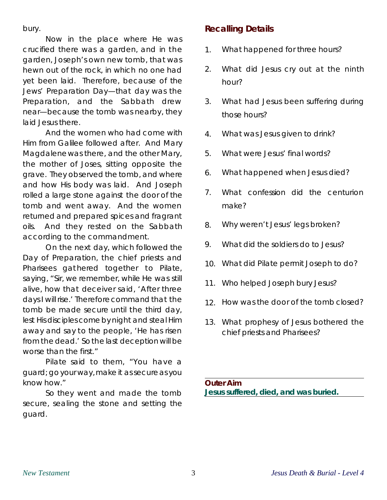bury.

Now in the place where He was crucified there was a garden, and in the garden, Joseph's own new tomb, that was hewn out of the rock, in which no one had yet been laid. Therefore, because of the Jews' Preparation Day—that day was the Preparation, and the Sabbath drew near—because the tomb was nearby, they laid Jesus there.

And the women who had come with Him from Galilee followed after. And Mary Magdalenewas there, and the other Mary, the mother of Joses, sitting opposite the grave. They observed the tomb, and where and how His body was laid. And Joseph rolled a large stone against the door of the tomb and went away. And the women returned and prepared spices and fragrant oils. And they rested on the Sabbath according to the commandment.

On the next day, which followed the Day of Preparation, the chief priests and Pharisees gat hered together to Pilate, saying, "Sir, we remember, while He was still alive, how that deceiver said, 'After three days I will rise.' Therefore command that the tomb be made secure until the third day, lest His disciples come by night and steal Him away and say to the people, 'He has risen from the dead.' Sothe last deception will be worse than the first."

Pilate said to them, "You have a guard; go your way, make it as secure as you know how."

So they went and made the tomb secure, sealing the stone and setting the guard.

# **Recalling Details**

- 1. What happened for three hours?
- 2. What did Jesus cry out at the ninth hour?
- 3. What had Jesus been suffering during those hours?
- 4. What was Jesus given to drink?
- 5. What were Jesus' final words?
- 6. What happened when Jesus died?
- 7. What confession did the centurion make?
- 8. Why weren't Jesus' legs broken?
- 9. What did the soldiers do to Jesus?
- 10. What did Pilate permit Joseph to do?
- 11. Who helped Joseph bury Jesus?
- 12. How was the door of the tomb closed?
- 13. What prophesy of Jesus bothered the chief priests and Pharisees?

**Outer Aim Jesus suffered, died, and was buried.**